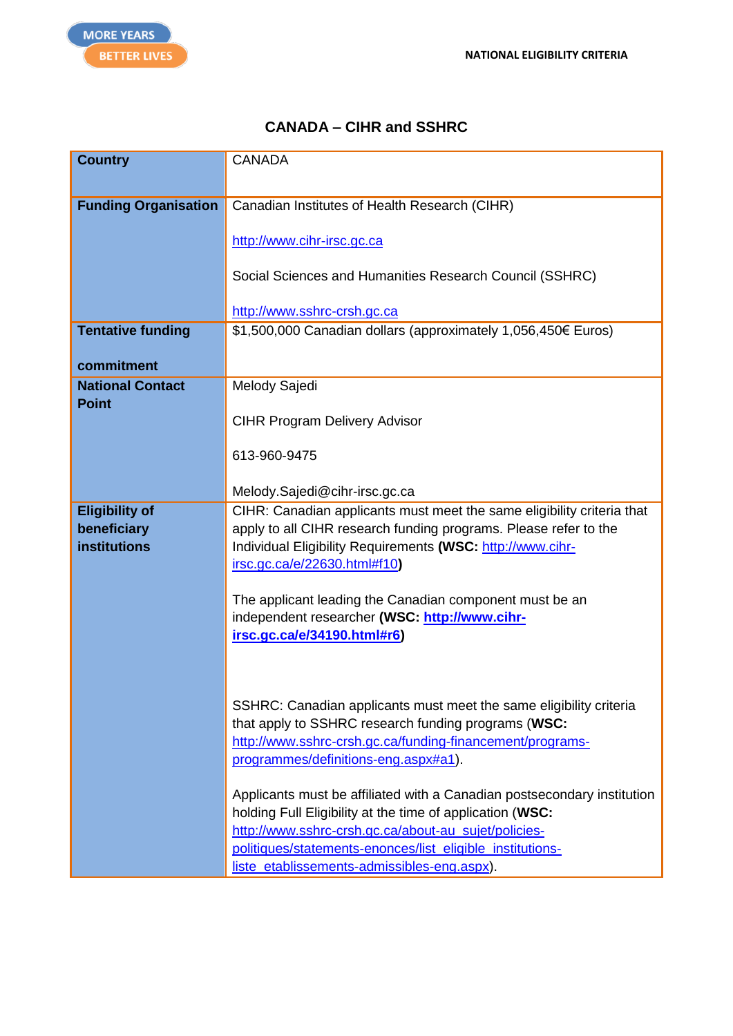## **CANADA – CIHR and SSHRC**

| <b>Country</b>              | <b>CANADA</b>                                                                |
|-----------------------------|------------------------------------------------------------------------------|
|                             |                                                                              |
| <b>Funding Organisation</b> | Canadian Institutes of Health Research (CIHR)                                |
|                             |                                                                              |
|                             | http://www.cihr-irsc.gc.ca                                                   |
|                             | Social Sciences and Humanities Research Council (SSHRC)                      |
|                             |                                                                              |
|                             | http://www.sshrc-crsh.gc.ca                                                  |
| <b>Tentative funding</b>    | \$1,500,000 Canadian dollars (approximately 1,056,450€ Euros)                |
|                             |                                                                              |
| commitment                  |                                                                              |
| <b>National Contact</b>     | Melody Sajedi                                                                |
| <b>Point</b>                |                                                                              |
|                             | <b>CIHR Program Delivery Advisor</b>                                         |
|                             | 613-960-9475                                                                 |
|                             |                                                                              |
|                             | Melody.Sajedi@cihr-irsc.gc.ca                                                |
| <b>Eligibility of</b>       | CIHR: Canadian applicants must meet the same eligibility criteria that       |
| beneficiary                 | apply to all CIHR research funding programs. Please refer to the             |
| institutions                | Individual Eligibility Requirements (WSC: http://www.cihr-                   |
|                             | irsc.gc.ca/e/22630.html#f10)                                                 |
|                             |                                                                              |
|                             | The applicant leading the Canadian component must be an                      |
|                             | independent researcher (WSC: http://www.cihr-<br>irsc.gc.ca/e/34190.html#r6) |
|                             |                                                                              |
|                             |                                                                              |
|                             |                                                                              |
|                             | SSHRC: Canadian applicants must meet the same eligibility criteria           |
|                             | that apply to SSHRC research funding programs (WSC:                          |
|                             | http://www.sshrc-crsh.gc.ca/funding-financement/programs-                    |
|                             | programmes/definitions-eng.aspx#a1).                                         |
|                             | Applicants must be affiliated with a Canadian postsecondary institution      |
|                             | holding Full Eligibility at the time of application (WSC:                    |
|                             | http://www.sshrc-crsh.gc.ca/about-au sujet/policies-                         |
|                             | politiques/statements-enonces/list_eligible_institutions-                    |
|                             | liste_etablissements-admissibles-eng.aspx).                                  |